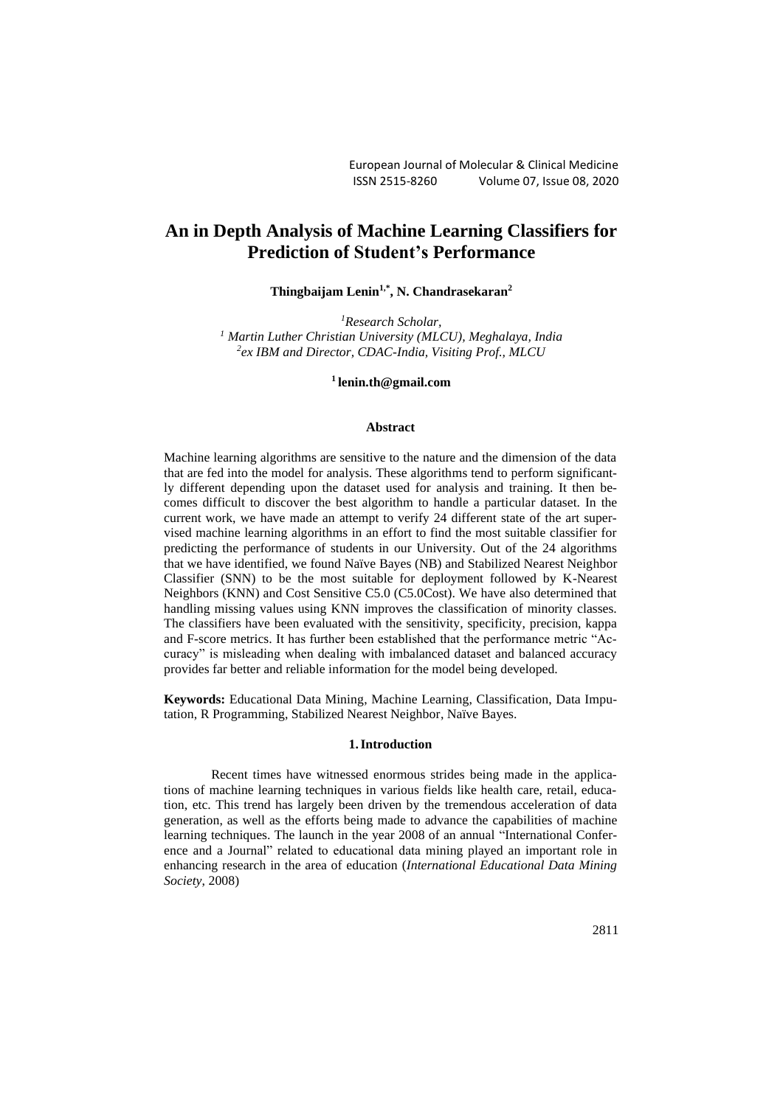# **An in Depth Analysis of Machine Learning Classifiers for Prediction of Student's Performance**

**Thingbaijam Lenin1,\*, N. Chandrasekaran<sup>2</sup>**

*<sup>1</sup>Research Scholar, <sup>1</sup> Martin Luther Christian University (MLCU), Meghalaya, India 2 ex IBM and Director, CDAC-India, Visiting Prof., MLCU*

**<sup>1</sup>[lenin.th@gmail.com](mailto:lenin.th@gmail.com)**

#### **Abstract**

Machine learning algorithms are sensitive to the nature and the dimension of the data that are fed into the model for analysis. These algorithms tend to perform significantly different depending upon the dataset used for analysis and training. It then becomes difficult to discover the best algorithm to handle a particular dataset. In the current work, we have made an attempt to verify 24 different state of the art supervised machine learning algorithms in an effort to find the most suitable classifier for predicting the performance of students in our University. Out of the 24 algorithms that we have identified, we found Naïve Bayes (NB) and Stabilized Nearest Neighbor Classifier (SNN) to be the most suitable for deployment followed by K-Nearest Neighbors (KNN) and Cost Sensitive C5.0 (C5.0Cost). We have also determined that handling missing values using KNN improves the classification of minority classes. The classifiers have been evaluated with the sensitivity, specificity, precision, kappa and F-score metrics. It has further been established that the performance metric "Accuracy" is misleading when dealing with imbalanced dataset and balanced accuracy provides far better and reliable information for the model being developed.

**Keywords:** Educational Data Mining, Machine Learning, Classification, Data Imputation, R Programming, Stabilized Nearest Neighbor, Naïve Bayes.

#### **1.Introduction**

Recent times have witnessed enormous strides being made in the applications of machine learning techniques in various fields like health care, retail, education, etc. This trend has largely been driven by the tremendous acceleration of data generation, as well as the efforts being made to advance the capabilities of machine learning techniques. The launch in the year 2008 of an annual "International Conference and a Journal" related to educational data mining played an important role in enhancing research in the area of education (*International Educational Data Mining Society*, 2008)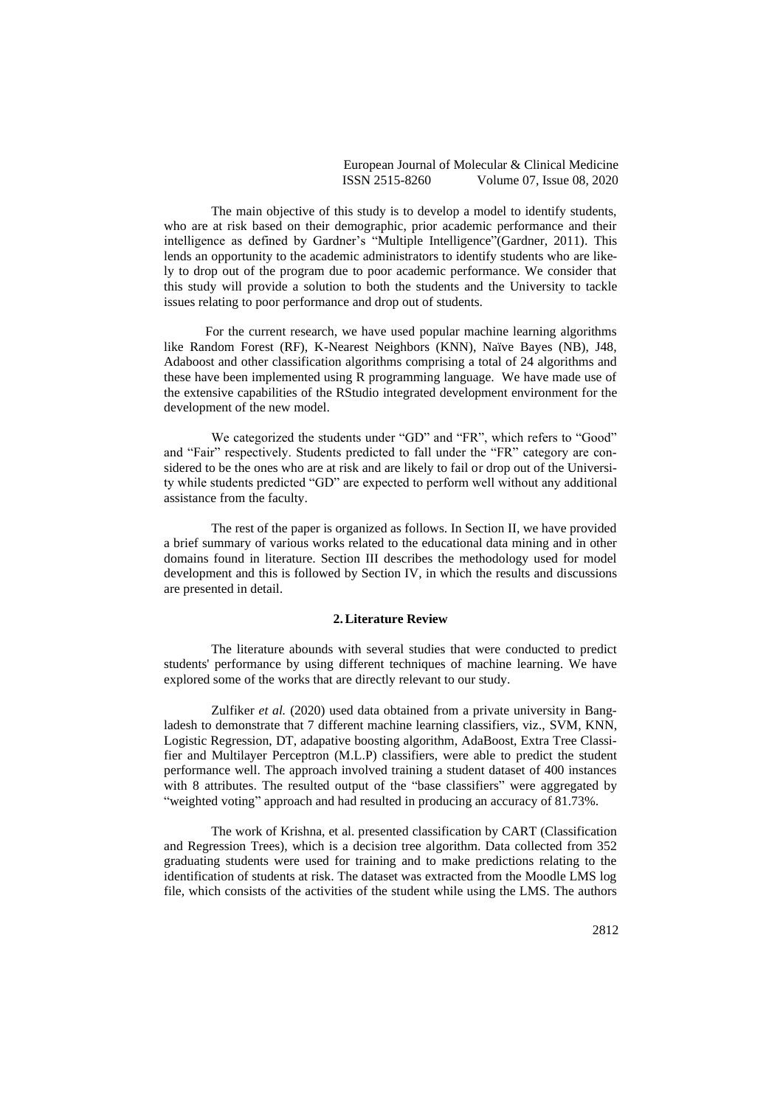The main objective of this study is to develop a model to identify students, who are at risk based on their demographic, prior academic performance and their intelligence as defined by Gardner's "Multiple Intelligence"(Gardner, 2011). This lends an opportunity to the academic administrators to identify students who are likely to drop out of the program due to poor academic performance. We consider that this study will provide a solution to both the students and the University to tackle issues relating to poor performance and drop out of students.

For the current research, we have used popular machine learning algorithms like Random Forest (RF), K-Nearest Neighbors (KNN), Naïve Bayes (NB), J48, Adaboost and other classification algorithms comprising a total of 24 algorithms and these have been implemented using R programming language. We have made use of the extensive capabilities of the RStudio integrated development environment for the development of the new model.

We categorized the students under "GD" and "FR", which refers to "Good" and "Fair" respectively. Students predicted to fall under the "FR" category are considered to be the ones who are at risk and are likely to fail or drop out of the University while students predicted "GD" are expected to perform well without any additional assistance from the faculty.

The rest of the paper is organized as follows. In Section II, we have provided a brief summary of various works related to the educational data mining and in other domains found in literature. Section III describes the methodology used for model development and this is followed by Section IV, in which the results and discussions are presented in detail.

#### **2.Literature Review**

The literature abounds with several studies that were conducted to predict students' performance by using different techniques of machine learning. We have explored some of the works that are directly relevant to our study.

Zulfiker *et al.* (2020) used data obtained from a private university in Bangladesh to demonstrate that 7 different machine learning classifiers, viz., SVM, KNN, Logistic Regression, DT, adapative boosting algorithm, AdaBoost, Extra Tree Classifier and Multilayer Perceptron (M.L.P) classifiers, were able to predict the student performance well. The approach involved training a student dataset of 400 instances with 8 attributes. The resulted output of the "base classifiers" were aggregated by "weighted voting" approach and had resulted in producing an accuracy of 81.73%.

The work of Krishna, et al. presented classification by CART (Classification and Regression Trees), which is a decision tree algorithm. Data collected from 352 graduating students were used for training and to make predictions relating to the identification of students at risk. The dataset was extracted from the Moodle LMS log file, which consists of the activities of the student while using the LMS. The authors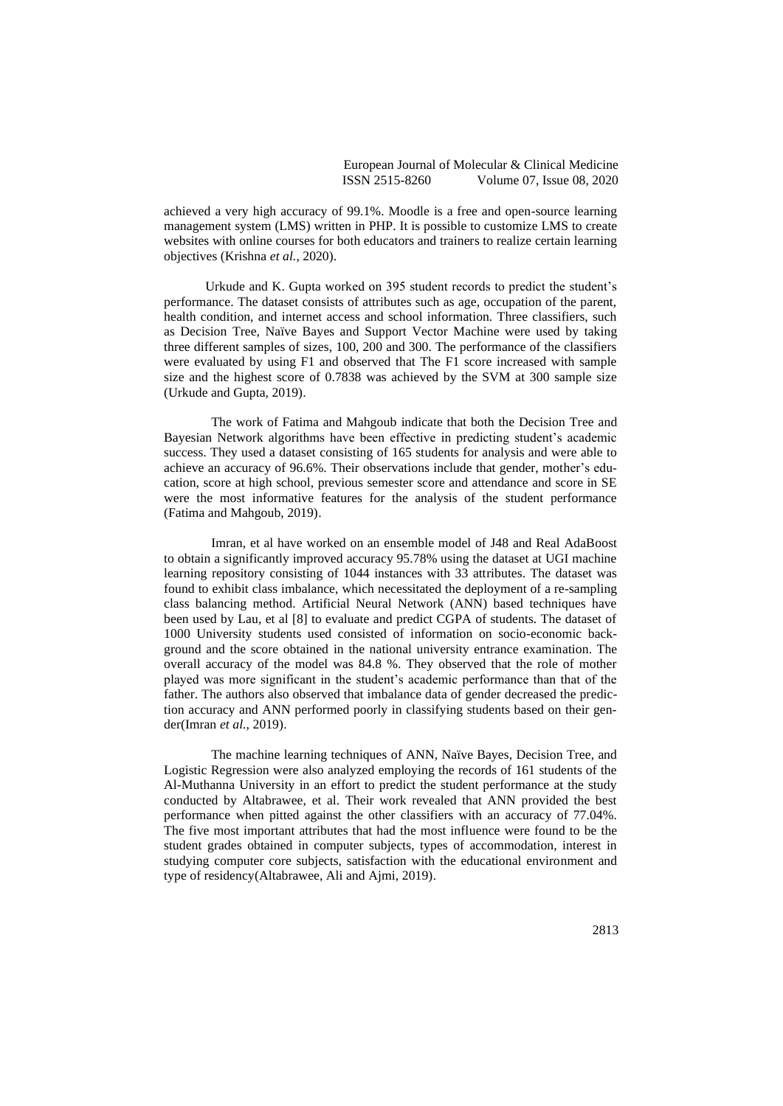achieved a very high accuracy of 99.1%. Moodle is a free and open-source learning management system (LMS) written in PHP. It is possible to customize LMS to create websites with online courses for both educators and trainers to realize certain learning objectives (Krishna *et al.*, 2020).

Urkude and K. Gupta worked on 395 student records to predict the student's performance. The dataset consists of attributes such as age, occupation of the parent, health condition, and internet access and school information. Three classifiers, such as Decision Tree, Naïve Bayes and Support Vector Machine were used by taking three different samples of sizes, 100, 200 and 300. The performance of the classifiers were evaluated by using F1 and observed that The F1 score increased with sample size and the highest score of 0.7838 was achieved by the SVM at 300 sample size (Urkude and Gupta, 2019).

The work of Fatima and Mahgoub indicate that both the Decision Tree and Bayesian Network algorithms have been effective in predicting student's academic success. They used a dataset consisting of 165 students for analysis and were able to achieve an accuracy of 96.6%. Their observations include that gender, mother's education, score at high school, previous semester score and attendance and score in SE were the most informative features for the analysis of the student performance (Fatima and Mahgoub, 2019).

Imran, et al have worked on an ensemble model of J48 and Real AdaBoost to obtain a significantly improved accuracy 95.78% using the dataset at UGI machine learning repository consisting of 1044 instances with 33 attributes. The dataset was found to exhibit class imbalance, which necessitated the deployment of a re-sampling class balancing method. Artificial Neural Network (ANN) based techniques have been used by Lau, et al [8] to evaluate and predict CGPA of students. The dataset of 1000 University students used consisted of information on socio-economic background and the score obtained in the national university entrance examination. The overall accuracy of the model was 84.8 %. They observed that the role of mother played was more significant in the student's academic performance than that of the father. The authors also observed that imbalance data of gender decreased the prediction accuracy and ANN performed poorly in classifying students based on their gender(Imran *et al.*, 2019).

The machine learning techniques of ANN, Naïve Bayes, Decision Tree, and Logistic Regression were also analyzed employing the records of 161 students of the Al-Muthanna University in an effort to predict the student performance at the study conducted by Altabrawee, et al. Their work revealed that ANN provided the best performance when pitted against the other classifiers with an accuracy of 77.04%. The five most important attributes that had the most influence were found to be the student grades obtained in computer subjects, types of accommodation, interest in studying computer core subjects, satisfaction with the educational environment and type of residency(Altabrawee, Ali and Ajmi, 2019).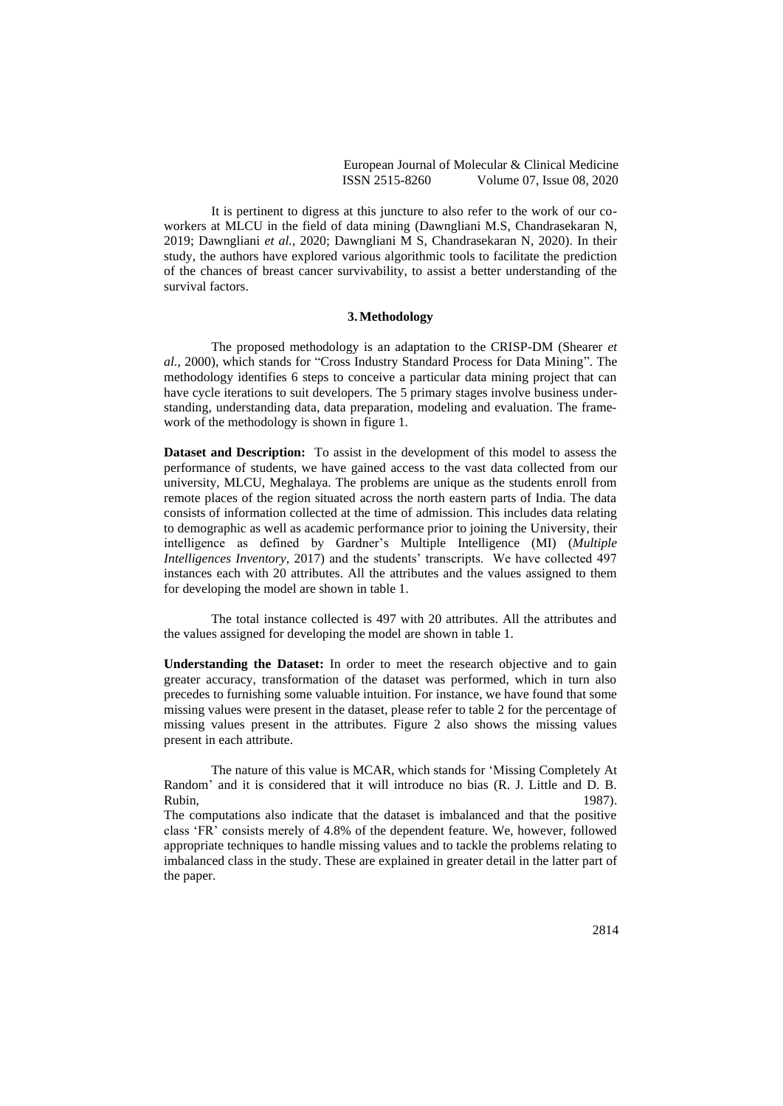It is pertinent to digress at this juncture to also refer to the work of our coworkers at MLCU in the field of data mining (Dawngliani M.S, Chandrasekaran N, 2019; Dawngliani *et al.*, 2020; Dawngliani M S, Chandrasekaran N, 2020). In their study, the authors have explored various algorithmic tools to facilitate the prediction of the chances of breast cancer survivability, to assist a better understanding of the survival factors.

#### **3.Methodology**

The proposed methodology is an adaptation to the CRISP-DM (Shearer *et al.*, 2000), which stands for "Cross Industry Standard Process for Data Mining". The methodology identifies 6 steps to conceive a particular data mining project that can have cycle iterations to suit developers. The 5 primary stages involve business understanding, understanding data, data preparation, modeling and evaluation. The framework of the methodology is shown in figure 1.

**Dataset and Description:** To assist in the development of this model to assess the performance of students, we have gained access to the vast data collected from our university, MLCU, Meghalaya. The problems are unique as the students enroll from remote places of the region situated across the north eastern parts of India. The data consists of information collected at the time of admission. This includes data relating to demographic as well as academic performance prior to joining the University, their intelligence as defined by Gardner's Multiple Intelligence (MI) (*Multiple Intelligences Inventory*, 2017) and the students' transcripts. We have collected 497 instances each with 20 attributes. All the attributes and the values assigned to them for developing the model are shown in table 1.

The total instance collected is 497 with 20 attributes. All the attributes and the values assigned for developing the model are shown in table 1.

**Understanding the Dataset:** In order to meet the research objective and to gain greater accuracy, transformation of the dataset was performed, which in turn also precedes to furnishing some valuable intuition. For instance, we have found that some missing values were present in the dataset, please refer to table 2 for the percentage of missing values present in the attributes. Figure 2 also shows the missing values present in each attribute.

The nature of this value is MCAR, which stands for 'Missing Completely At Random' and it is considered that it will introduce no bias (R. J. Little and D. B. Rubin, 1987).

The computations also indicate that the dataset is imbalanced and that the positive class 'FR' consists merely of 4.8% of the dependent feature. We, however, followed appropriate techniques to handle missing values and to tackle the problems relating to imbalanced class in the study. These are explained in greater detail in the latter part of the paper.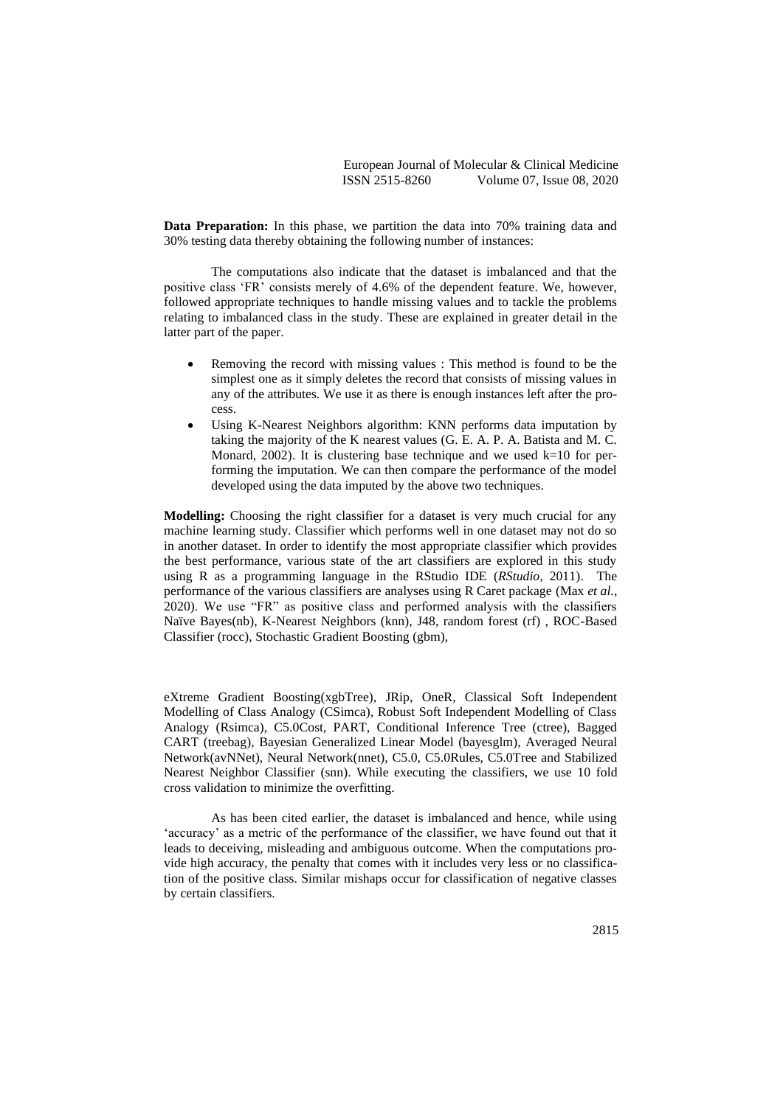**Data Preparation:** In this phase, we partition the data into 70% training data and 30% testing data thereby obtaining the following number of instances:

The computations also indicate that the dataset is imbalanced and that the positive class 'FR' consists merely of 4.6% of the dependent feature. We, however, followed appropriate techniques to handle missing values and to tackle the problems relating to imbalanced class in the study. These are explained in greater detail in the latter part of the paper.

- Removing the record with missing values : This method is found to be the simplest one as it simply deletes the record that consists of missing values in any of the attributes. We use it as there is enough instances left after the process.
- Using K-Nearest Neighbors algorithm: KNN performs data imputation by taking the majority of the K nearest values (G. E. A. P. A. Batista and M. C. Monard, 2002). It is clustering base technique and we used  $k=10$  for performing the imputation. We can then compare the performance of the model developed using the data imputed by the above two techniques.

**Modelling:** Choosing the right classifier for a dataset is very much crucial for any machine learning study. Classifier which performs well in one dataset may not do so in another dataset. In order to identify the most appropriate classifier which provides the best performance, various state of the art classifiers are explored in this study using R as a programming language in the RStudio IDE (*RStudio*, 2011). The performance of the various classifiers are analyses using R Caret package (Max *et al.*, 2020). We use "FR" as positive class and performed analysis with the classifiers Naïve Bayes(nb), K-Nearest Neighbors (knn), J48, random forest (rf) , ROC-Based Classifier (rocc), Stochastic Gradient Boosting (gbm),

eXtreme Gradient Boosting(xgbTree), JRip, OneR, Classical Soft Independent Modelling of Class Analogy (CSimca), Robust Soft Independent Modelling of Class Analogy (Rsimca), C5.0Cost, PART, Conditional Inference Tree (ctree), Bagged CART (treebag), Bayesian Generalized Linear Model (bayesglm), Averaged Neural Network(avNNet), Neural Network(nnet), C5.0, C5.0Rules, C5.0Tree and Stabilized Nearest Neighbor Classifier (snn). While executing the classifiers, we use 10 fold cross validation to minimize the overfitting.

As has been cited earlier, the dataset is imbalanced and hence, while using 'accuracy' as a metric of the performance of the classifier, we have found out that it leads to deceiving, misleading and ambiguous outcome. When the computations provide high accuracy, the penalty that comes with it includes very less or no classification of the positive class. Similar mishaps occur for classification of negative classes by certain classifiers.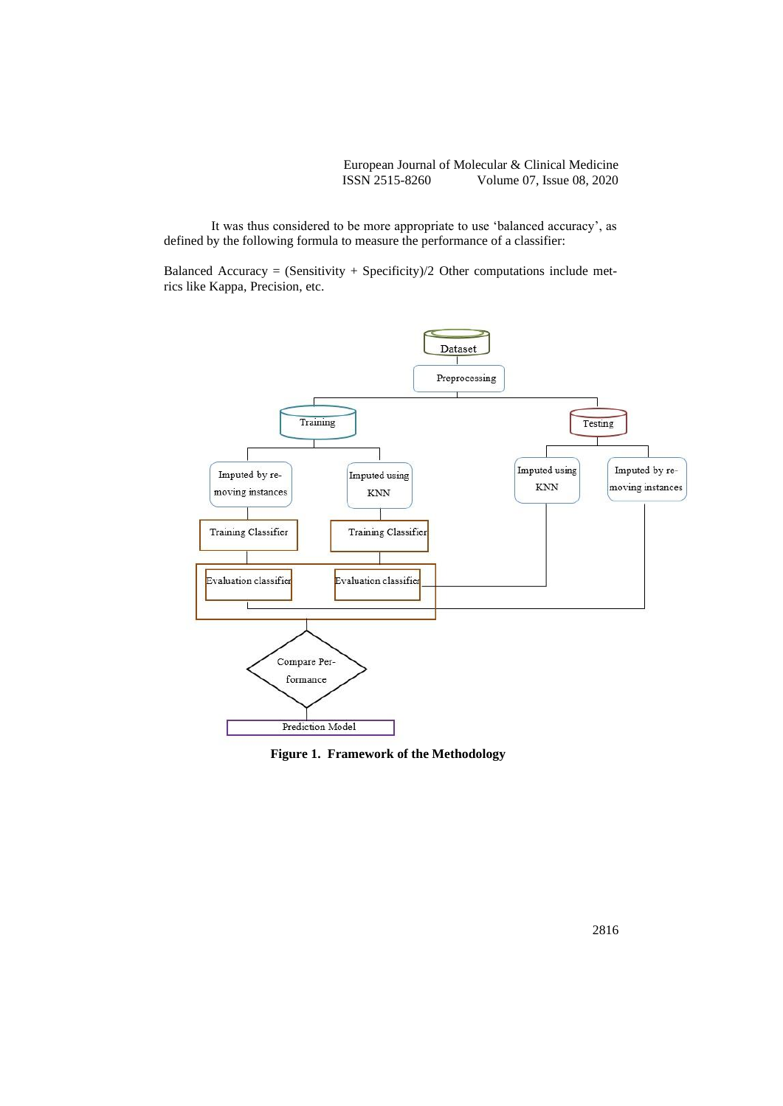It was thus considered to be more appropriate to use 'balanced accuracy', as defined by the following formula to measure the performance of a classifier:

Balanced Accuracy = (Sensitivity + Specificity)/2 Other computations include metrics like Kappa, Precision, etc.



**Figure 1. Framework of the Methodology**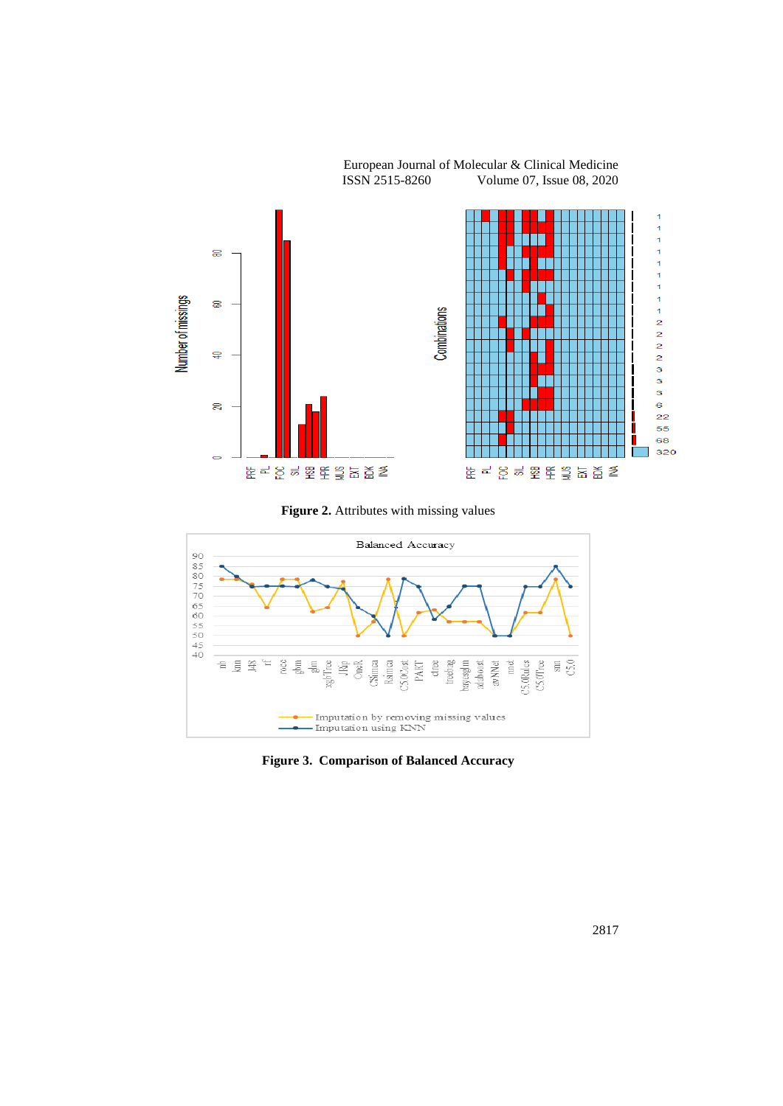

European Journal of Molecular & Clinical Medicine<br>ISSN 2515-8260 Volume 07, Issue 08, 2020 Volume 07, Issue 08, 2020

Figure 2. Attributes with missing values



**Figure 3. Comparison of Balanced Accuracy**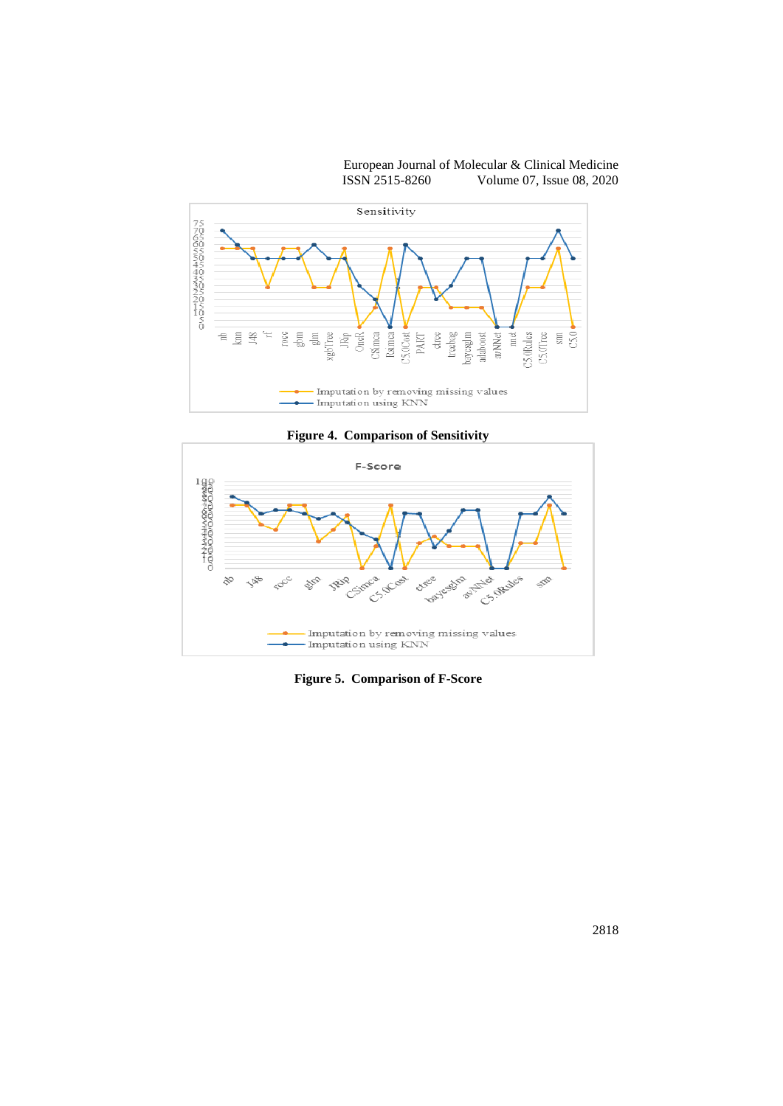European Journal of Molecular & Clinical Medicine ISSN 2515-8260 Volume 07, Issue 08, 2020



**Figure 4. Comparison of Sensitivity**



**Figure 5. Comparison of F-Score**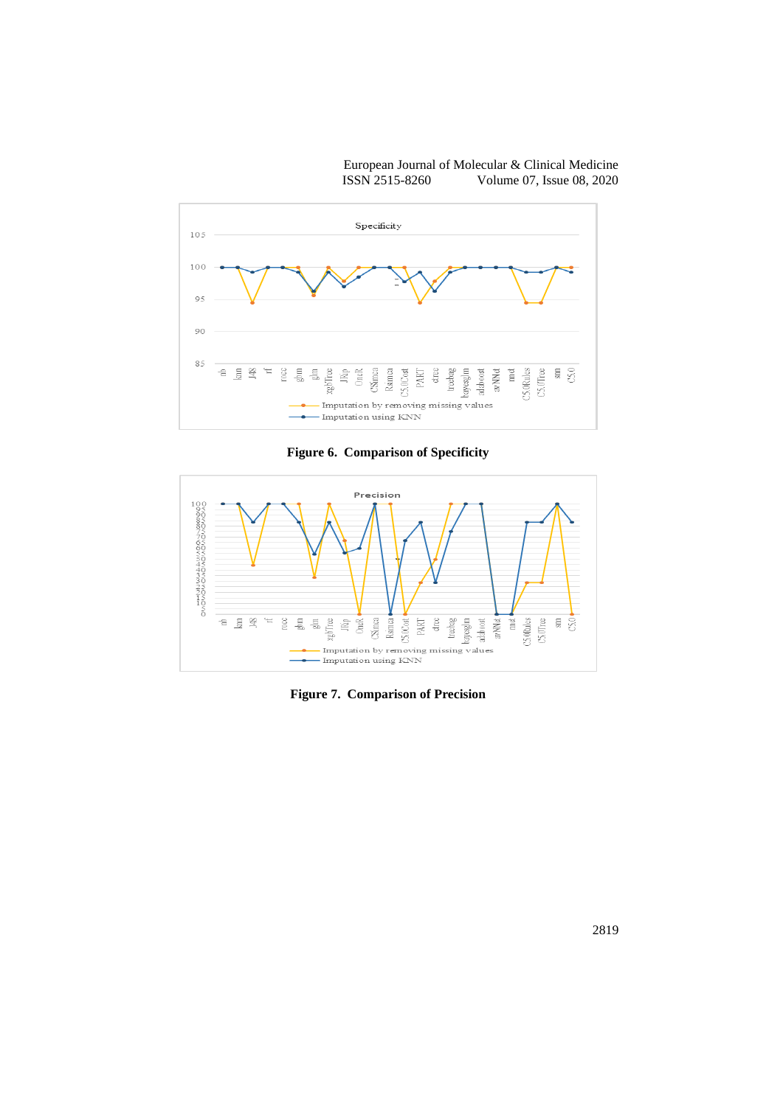

**Figure 6. Comparison of Specificity**



**Figure 7. Comparison of Precision**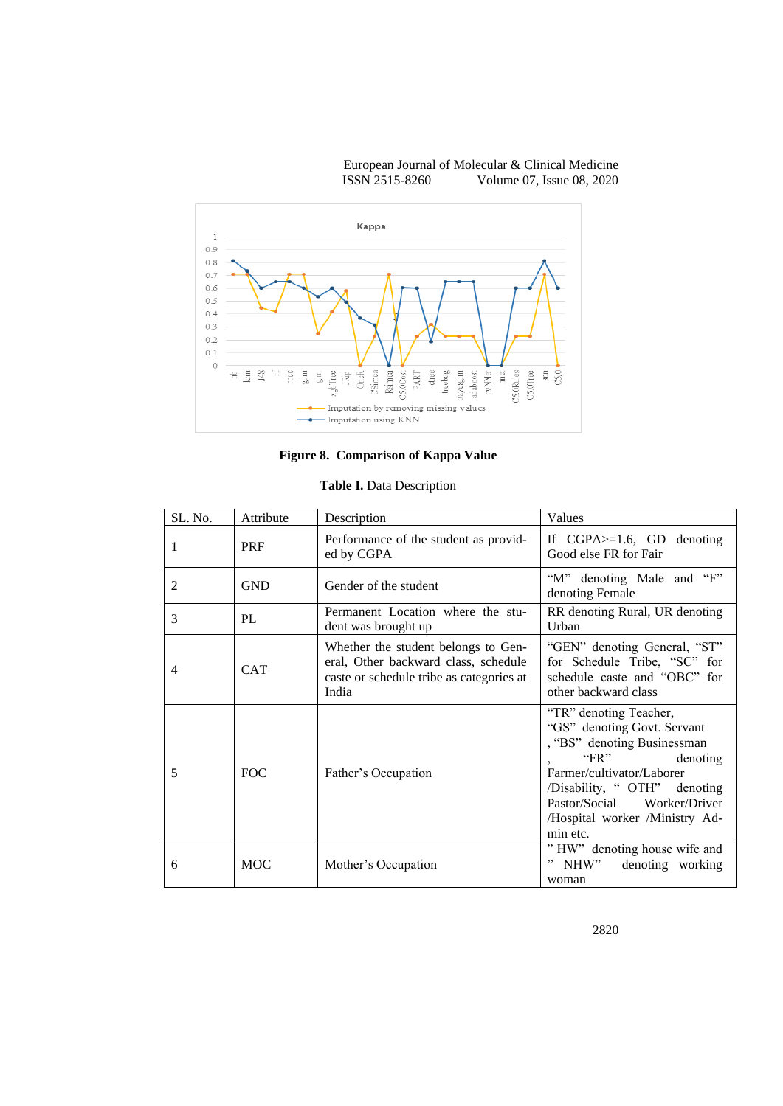

**Figure 8. Comparison of Kappa Value**

| Table I. Data Description |  |
|---------------------------|--|
|---------------------------|--|

| SL. No. | Attribute  | Description                                                                                                                      | Values                                                                                                                                                                                                                                               |  |
|---------|------------|----------------------------------------------------------------------------------------------------------------------------------|------------------------------------------------------------------------------------------------------------------------------------------------------------------------------------------------------------------------------------------------------|--|
| 1       | <b>PRF</b> | Performance of the student as provid-<br>ed by CGPA                                                                              | If $CGPA \geq 1.6$ , GD denoting<br>Good else FR for Fair                                                                                                                                                                                            |  |
| 2       | <b>GND</b> | Gender of the student                                                                                                            | "M" denoting Male and "F"<br>denoting Female                                                                                                                                                                                                         |  |
| 3       | PL         | Permanent Location where the stu-<br>dent was brought up                                                                         | RR denoting Rural, UR denoting<br>Urban                                                                                                                                                                                                              |  |
| 4       | <b>CAT</b> | Whether the student belongs to Gen-<br>eral, Other backward class, schedule<br>caste or schedule tribe as categories at<br>India | "GEN" denoting General, "ST"<br>for Schedule Tribe, "SC" for<br>schedule caste and "OBC" for<br>other backward class                                                                                                                                 |  |
| 5       | FOC        | Father's Occupation                                                                                                              | "TR" denoting Teacher,<br>"GS" denoting Govt. Servant<br>, "BS" denoting Businessman<br>"FR"<br>denoting<br>Farmer/cultivator/Laborer<br>/Disability, "OTH" denoting<br>Pastor/Social<br>Worker/Driver<br>/Hospital worker /Ministry Ad-<br>min etc. |  |
| 6       | <b>MOC</b> | Mother's Occupation                                                                                                              | "HW" denoting house wife and<br>denoting working<br>NHW"<br>,,<br>woman                                                                                                                                                                              |  |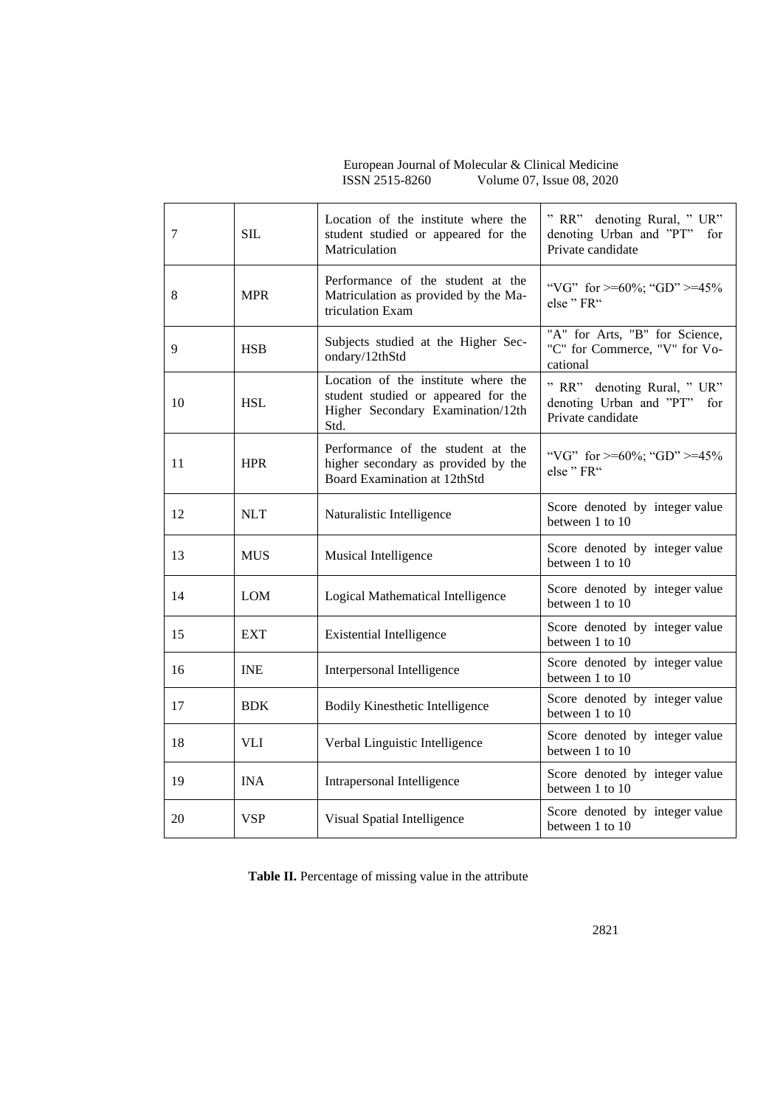European Journal of Molecular & Clinical Medicine ISSN 2515-8260 Volume 07, Issue 08, 2020

| 7  | <b>SIL</b> | Location of the institute where the<br>student studied or appeared for the<br>Matriculation                             | " RR" denoting Rural, " UR"<br>denoting Urban and "PT"<br>for<br>Private candidate |  |
|----|------------|-------------------------------------------------------------------------------------------------------------------------|------------------------------------------------------------------------------------|--|
| 8  | <b>MPR</b> | Performance of the student at the<br>Matriculation as provided by the Ma-<br>triculation Exam                           | "VG" for $\geq$ =60%; "GD" $\geq$ =45%<br>else" FR"                                |  |
| 9  | <b>HSB</b> | Subjects studied at the Higher Sec-<br>ondary/12thStd                                                                   | "A" for Arts, "B" for Science,<br>"C" for Commerce, "V" for Vo-<br>cational        |  |
| 10 | <b>HSL</b> | Location of the institute where the<br>student studied or appeared for the<br>Higher Secondary Examination/12th<br>Std. | " RR" denoting Rural, " UR"<br>denoting Urban and "PT" for<br>Private candidate    |  |
| 11 | <b>HPR</b> | Performance of the student at the<br>higher secondary as provided by the<br>Board Examination at 12thStd                | "VG" for $>=60\%$ ; "GD" $>=45\%$<br>else" FR"                                     |  |
| 12 | <b>NLT</b> | Naturalistic Intelligence                                                                                               | Score denoted by integer value<br>between 1 to 10                                  |  |
| 13 | <b>MUS</b> | Musical Intelligence                                                                                                    | Score denoted by integer value<br>between 1 to 10                                  |  |
| 14 | LOM        | Logical Mathematical Intelligence                                                                                       | Score denoted by integer value<br>between 1 to 10                                  |  |
| 15 | <b>EXT</b> | <b>Existential Intelligence</b>                                                                                         | Score denoted by integer value<br>between 1 to 10                                  |  |
| 16 | <b>INE</b> | Interpersonal Intelligence                                                                                              | Score denoted by integer value<br>between 1 to 10                                  |  |
| 17 | <b>BDK</b> | <b>Bodily Kinesthetic Intelligence</b>                                                                                  | Score denoted by integer value<br>between 1 to 10                                  |  |
| 18 | <b>VLI</b> | Verbal Linguistic Intelligence                                                                                          | Score denoted by integer value<br>between 1 to 10                                  |  |
| 19 | <b>INA</b> | Intrapersonal Intelligence                                                                                              | Score denoted by integer value<br>between 1 to 10                                  |  |
| 20 | <b>VSP</b> | Visual Spatial Intelligence                                                                                             | Score denoted by integer value<br>between 1 to 10                                  |  |

**Table II.** Percentage of missing value in the attribute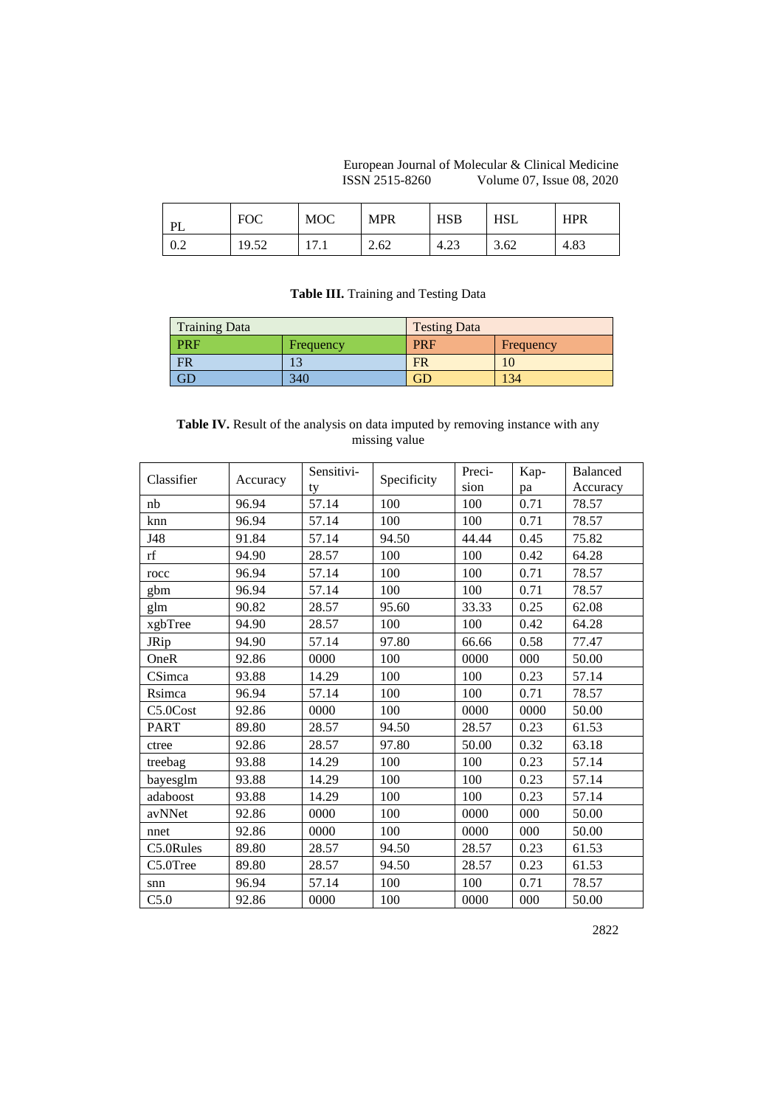European Journal of Molecular & Clinical Medicine ISSN 2515-8260 Volume 07, Issue 08, 2020

| <b>PI</b>    | <b>FOC</b> | MOC  | <b>MPR</b> | HSB  | HSL  | <b>HPR</b> |
|--------------|------------|------|------------|------|------|------------|
| $\mathsf{U}$ | 19.52      | 17.1 | 2.62       | 4.ZJ | 3.62 | 4.83       |

### **Table III.** Training and Testing Data

| <b>Training Data</b> |           | <b>Testing Data</b> |           |  |  |
|----------------------|-----------|---------------------|-----------|--|--|
| <b>PRF</b>           | Frequency | <b>PRF</b>          | Frequency |  |  |
| <b>FR</b>            |           | <b>FR</b>           |           |  |  |
| $\operatorname{GL}$  | 340       | ĴГ                  | 134       |  |  |

## **Table IV.** Result of the analysis on data imputed by removing instance with any missing value

| Classifier  | Accuracy | Sensitivi- | Specificity | Preci- | Kap- | <b>Balanced</b> |
|-------------|----------|------------|-------------|--------|------|-----------------|
|             |          | ty         |             | sion   | pa   | Accuracy        |
| nb          | 96.94    | 57.14      | 100         | 100    | 0.71 | 78.57           |
| knn         | 96.94    | 57.14      | 100         | 100    | 0.71 | 78.57           |
| J48         | 91.84    | 57.14      | 94.50       | 44.44  | 0.45 | 75.82           |
| rf          | 94.90    | 28.57      | 100         | 100    | 0.42 | 64.28           |
| rocc        | 96.94    | 57.14      | 100         | 100    | 0.71 | 78.57           |
| gbm         | 96.94    | 57.14      | 100         | 100    | 0.71 | 78.57           |
| glm         | 90.82    | 28.57      | 95.60       | 33.33  | 0.25 | 62.08           |
| xgbTree     | 94.90    | 28.57      | 100         | 100    | 0.42 | 64.28           |
| JRip        | 94.90    | 57.14      | 97.80       | 66.66  | 0.58 | 77.47           |
| OneR        | 92.86    | 0000       | 100         | 0000   | 000  | 50.00           |
| CSimca      | 93.88    | 14.29      | 100         | 100    | 0.23 | 57.14           |
| Rsimca      | 96.94    | 57.14      | 100         | 100    | 0.71 | 78.57           |
| C5.0Cost    | 92.86    | 0000       | 100         | 0000   | 0000 | 50.00           |
| <b>PART</b> | 89.80    | 28.57      | 94.50       | 28.57  | 0.23 | 61.53           |
| ctree       | 92.86    | 28.57      | 97.80       | 50.00  | 0.32 | 63.18           |
| treebag     | 93.88    | 14.29      | 100         | 100    | 0.23 | 57.14           |
| bayesglm    | 93.88    | 14.29      | 100         | 100    | 0.23 | 57.14           |
| adaboost    | 93.88    | 14.29      | 100         | 100    | 0.23 | 57.14           |
| avNNet      | 92.86    | 0000       | 100         | 0000   | 000  | 50.00           |
| nnet        | 92.86    | 0000       | 100         | 0000   | 000  | 50.00           |
| C5.0Rules   | 89.80    | 28.57      | 94.50       | 28.57  | 0.23 | 61.53           |
| C5.0Tree    | 89.80    | 28.57      | 94.50       | 28.57  | 0.23 | 61.53           |
| snn         | 96.94    | 57.14      | 100         | 100    | 0.71 | 78.57           |
| C5.0        | 92.86    | 0000       | 100         | 0000   | 000  | 50.00           |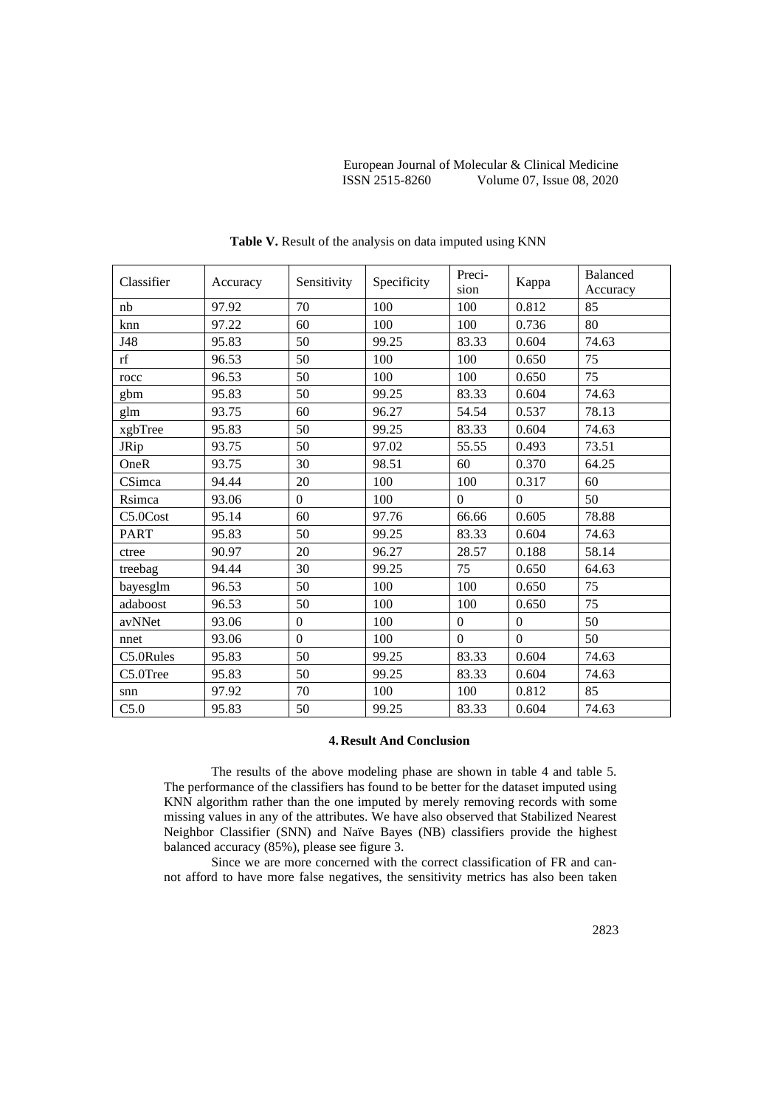| Classifier  | Accuracy | Sensitivity      | Specificity | Preci-       | Kappa        | <b>Balanced</b> |
|-------------|----------|------------------|-------------|--------------|--------------|-----------------|
|             |          |                  |             | sion         |              | Accuracy        |
| nb          | 97.92    | 70               | 100         | 100          | 0.812        | 85              |
| knn         | 97.22    | 60               | 100         | 100          | 0.736        | 80              |
| J48         | 95.83    | 50               | 99.25       | 83.33        | 0.604        | 74.63           |
| rf          | 96.53    | 50               | 100         | 100          | 0.650        | 75              |
| rocc        | 96.53    | 50               | 100         | 100          | 0.650        | 75              |
| gbm         | 95.83    | 50               | 99.25       | 83.33        | 0.604        | 74.63           |
| glm         | 93.75    | 60               | 96.27       | 54.54        | 0.537        | 78.13           |
| xgbTree     | 95.83    | 50               | 99.25       | 83.33        | 0.604        | 74.63           |
| JRip        | 93.75    | 50               | 97.02       | 55.55        | 0.493        | 73.51           |
| OneR        | 93.75    | 30               | 98.51       | 60           | 0.370        | 64.25           |
| CSimca      | 94.44    | 20               | 100         | 100          | 0.317        | 60              |
| Rsimca      | 93.06    | $\Omega$         | 100         | $\Omega$     | $\Omega$     | 50              |
| C5.0Cost    | 95.14    | 60               | 97.76       | 66.66        | 0.605        | 78.88           |
| <b>PART</b> | 95.83    | 50               | 99.25       | 83.33        | 0.604        | 74.63           |
| ctree       | 90.97    | 20               | 96.27       | 28.57        | 0.188        | 58.14           |
| treebag     | 94.44    | 30               | 99.25       | 75           | 0.650        | 64.63           |
| bayesglm    | 96.53    | 50               | 100         | 100          | 0.650        | 75              |
| adaboost    | 96.53    | 50               | 100         | 100          | 0.650        | 75              |
| avNNet      | 93.06    | $\Omega$         | 100         | $\theta$     | $\Omega$     | 50              |
| nnet        | 93.06    | $\boldsymbol{0}$ | 100         | $\mathbf{0}$ | $\mathbf{0}$ | 50              |
| C5.0Rules   | 95.83    | 50               | 99.25       | 83.33        | 0.604        | 74.63           |
| C5.0Tree    | 95.83    | 50               | 99.25       | 83.33        | 0.604        | 74.63           |
| snn         | 97.92    | 70               | 100         | 100          | 0.812        | 85              |
| C5.0        | 95.83    | 50               | 99.25       | 83.33        | 0.604        | 74.63           |

**Table V.** Result of the analysis on data imputed using KNN

#### **4. Result And Conclusion**

The results of the above modeling phase are shown in table 4 and table 5. The performance of the classifiers has found to be better for the dataset imputed using KNN algorithm rather than the one imputed by merely removing records with some missing values in any of the attributes. We have also observed that Stabilized Nearest Neighbor Classifier (SNN) and Naïve Bayes (NB) classifiers provide the highest balanced accuracy (85%), please see figure 3.

Since we are more concerned with the correct classification of FR and cannot afford to have more false negatives, the sensitivity metrics has also been taken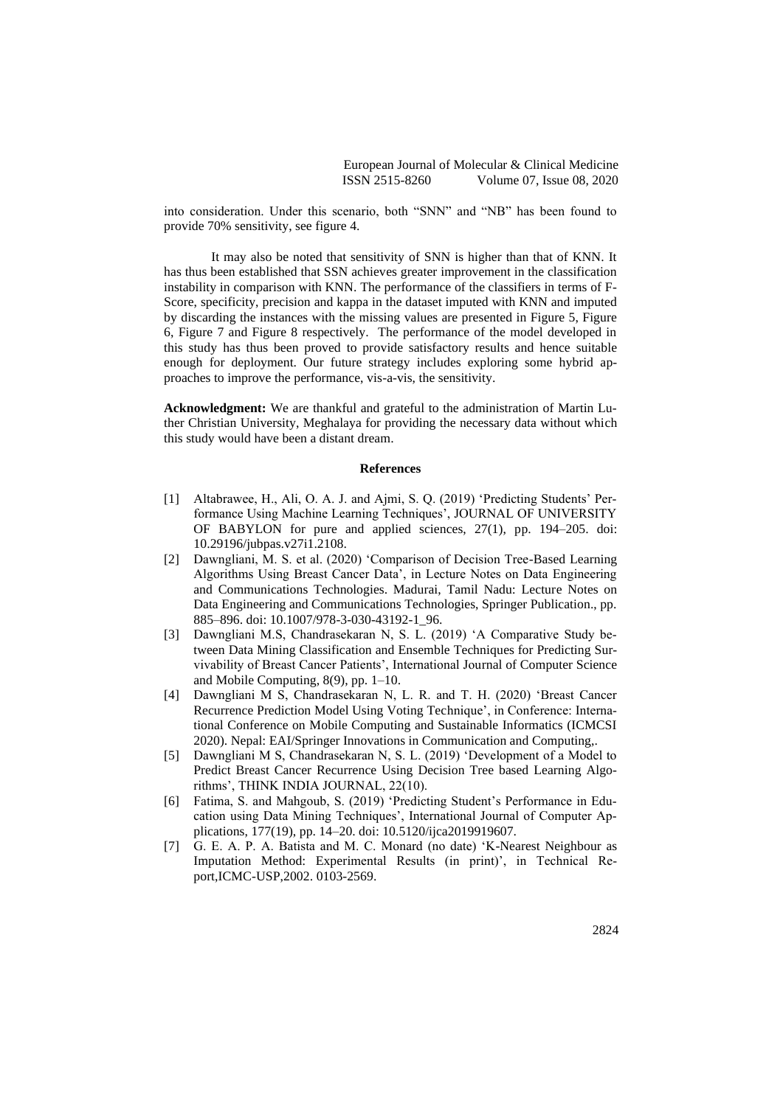into consideration. Under this scenario, both "SNN" and "NB" has been found to provide 70% sensitivity, see figure 4.

It may also be noted that sensitivity of SNN is higher than that of KNN. It has thus been established that SSN achieves greater improvement in the classification instability in comparison with KNN. The performance of the classifiers in terms of F-Score, specificity, precision and kappa in the dataset imputed with KNN and imputed by discarding the instances with the missing values are presented in Figure 5, Figure 6, Figure 7 and Figure 8 respectively. The performance of the model developed in this study has thus been proved to provide satisfactory results and hence suitable enough for deployment. Our future strategy includes exploring some hybrid approaches to improve the performance, vis-a-vis, the sensitivity.

**Acknowledgment:** We are thankful and grateful to the administration of Martin Luther Christian University, Meghalaya for providing the necessary data without which this study would have been a distant dream.

#### **References**

- [1] Altabrawee, H., Ali, O. A. J. and Ajmi, S. Q. (2019) 'Predicting Students' Performance Using Machine Learning Techniques', JOURNAL OF UNIVERSITY OF BABYLON for pure and applied sciences, 27(1), pp. 194–205. doi: 10.29196/jubpas.v27i1.2108.
- [2] Dawngliani, M. S. et al. (2020) 'Comparison of Decision Tree-Based Learning Algorithms Using Breast Cancer Data', in Lecture Notes on Data Engineering and Communications Technologies. Madurai, Tamil Nadu: Lecture Notes on Data Engineering and Communications Technologies, Springer Publication., pp. 885–896. doi: 10.1007/978-3-030-43192-1\_96.
- [3] Dawngliani M.S, Chandrasekaran N, S. L. (2019) 'A Comparative Study between Data Mining Classification and Ensemble Techniques for Predicting Survivability of Breast Cancer Patients', International Journal of Computer Science and Mobile Computing, 8(9), pp. 1–10.
- [4] Dawngliani M S, Chandrasekaran N, L. R. and T. H. (2020) 'Breast Cancer Recurrence Prediction Model Using Voting Technique', in Conference: International Conference on Mobile Computing and Sustainable Informatics (ICMCSI 2020). Nepal: EAI/Springer Innovations in Communication and Computing,.
- [5] Dawngliani M S, Chandrasekaran N, S. L. (2019) 'Development of a Model to Predict Breast Cancer Recurrence Using Decision Tree based Learning Algorithms', THINK INDIA JOURNAL, 22(10).
- [6] Fatima, S. and Mahgoub, S. (2019) 'Predicting Student's Performance in Education using Data Mining Techniques', International Journal of Computer Applications, 177(19), pp. 14–20. doi: 10.5120/ijca2019919607.
- [7] G. E. A. P. A. Batista and M. C. Monard (no date) 'K-Nearest Neighbour as Imputation Method: Experimental Results (in print)', in Technical Report,ICMC-USP,2002. 0103-2569.